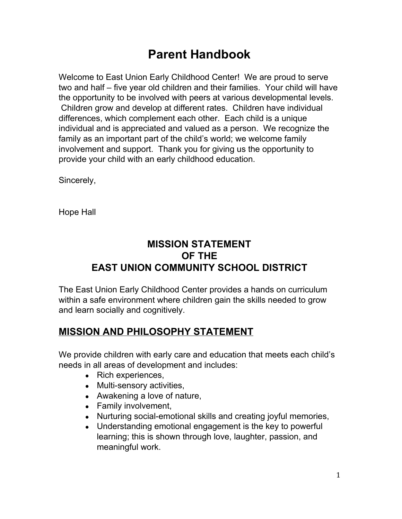# **Parent Handbook**

Welcome to East Union Early Childhood Center! We are proud to serve two and half – five year old children and their families. Your child will have the opportunity to be involved with peers at various developmental levels. Children grow and develop at different rates. Children have individual differences, which complement each other. Each child is a unique individual and is appreciated and valued as a person. We recognize the family as an important part of the child's world; we welcome family involvement and support. Thank you for giving us the opportunity to provide your child with an early childhood education.

Sincerely,

Hope Hall

## **MISSION STATEMENT OF THE EAST UNION COMMUNITY SCHOOL DISTRICT**

The East Union Early Childhood Center provides a hands on curriculum within a safe environment where children gain the skills needed to grow and learn socially and cognitively.

## **MISSION AND PHILOSOPHY STATEMENT**

We provide children with early care and education that meets each child's needs in all areas of development and includes:

- Rich experiences,
- Multi-sensory activities,
- Awakening a love of nature,
- Family involvement,
- Nurturing social-emotional skills and creating joyful memories,
- Understanding emotional engagement is the key to powerful learning; this is shown through love, laughter, passion, and meaningful work.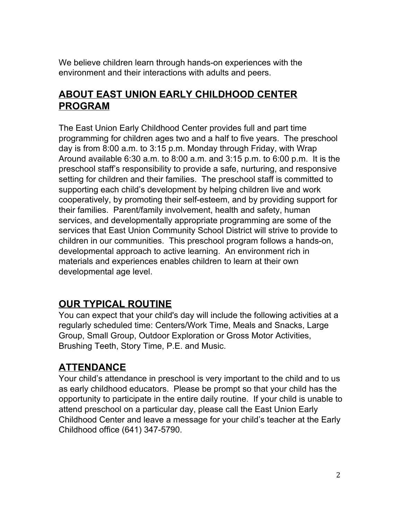We believe children learn through hands-on experiences with the environment and their interactions with adults and peers.

## **ABOUT EAST UNION EARLY CHILDHOOD CENTER PROGRAM**

The East Union Early Childhood Center provides full and part time programming for children ages two and a half to five years. The preschool day is from 8:00 a.m. to 3:15 p.m. Monday through Friday, with Wrap Around available 6:30 a.m. to 8:00 a.m. and 3:15 p.m. to 6:00 p.m. It is the preschool staff's responsibility to provide a safe, nurturing, and responsive setting for children and their families. The preschool staff is committed to supporting each child's development by helping children live and work cooperatively, by promoting their self-esteem, and by providing support for their families. Parent/family involvement, health and safety, human services, and developmentally appropriate programming are some of the services that East Union Community School District will strive to provide to children in our communities. This preschool program follows a hands-on, developmental approach to active learning. An environment rich in materials and experiences enables children to learn at their own developmental age level.

## **OUR TYPICAL ROUTINE**

You can expect that your child's day will include the following activities at a regularly scheduled time: Centers/Work Time, Meals and Snacks, Large Group, Small Group, Outdoor Exploration or Gross Motor Activities, Brushing Teeth, Story Time, P.E. and Music.

## **ATTENDANCE**

Your child's attendance in preschool is very important to the child and to us as early childhood educators. Please be prompt so that your child has the opportunity to participate in the entire daily routine. If your child is unable to attend preschool on a particular day, please call the East Union Early Childhood Center and leave a message for your child's teacher at the Early Childhood office (641) 347-5790.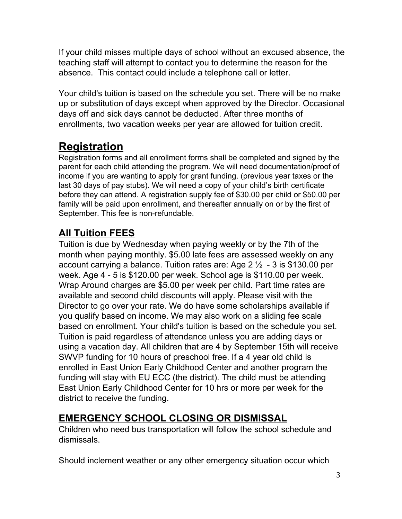If your child misses multiple days of school without an excused absence, the teaching staff will attempt to contact you to determine the reason for the absence. This contact could include a telephone call or letter.

Your child's tuition is based on the schedule you set. There will be no make up or substitution of days except when approved by the Director. Occasional days off and sick days cannot be deducted. After three months of enrollments, two vacation weeks per year are allowed for tuition credit.

# **Registration**

Registration forms and all enrollment forms shall be completed and signed by the parent for each child attending the program. We will need documentation/proof of income if you are wanting to apply for grant funding. (previous year taxes or the last 30 days of pay stubs). We will need a copy of your child's birth certificate before they can attend. A registration supply fee of \$30.00 per child or \$50.00 per family will be paid upon enrollment, and thereafter annually on or by the first of September. This fee is non-refundable.

## **All Tuition FEES**

Tuition is due by Wednesday when paying weekly or by the 7th of the month when paying monthly. \$5.00 late fees are assessed weekly on any account carrying a balance. Tuition rates are: Age 2 ½ - 3 is \$130.00 per week. Age 4 - 5 is \$120.00 per week. School age is \$110.00 per week. Wrap Around charges are \$5.00 per week per child. Part time rates are available and second child discounts will apply. Please visit with the Director to go over your rate. We do have some scholarships available if you qualify based on income. We may also work on a sliding fee scale based on enrollment. Your child's tuition is based on the schedule you set. Tuition is paid regardless of attendance unless you are adding days or using a vacation day. All children that are 4 by September 15th will receive SWVP funding for 10 hours of preschool free. If a 4 year old child is enrolled in East Union Early Childhood Center and another program the funding will stay with EU ECC (the district). The child must be attending East Union Early Childhood Center for 10 hrs or more per week for the district to receive the funding.

## **EMERGENCY SCHOOL CLOSING OR DISMISSAL**

Children who need bus transportation will follow the school schedule and dismissals.

Should inclement weather or any other emergency situation occur which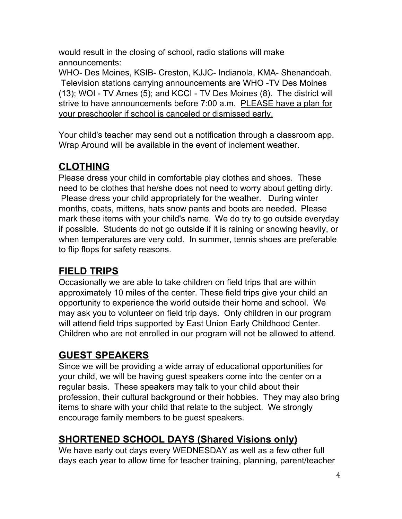would result in the closing of school, radio stations will make announcements:

WHO- Des Moines, KSIB- Creston, KJJC- Indianola, KMA- Shenandoah. Television stations carrying announcements are WHO -TV Des Moines (13); WOI - TV Ames (5); and KCCI - TV Des Moines (8). The district will strive to have announcements before 7:00 a.m. PLEASE have a plan for your preschooler if school is canceled or dismissed early.

Your child's teacher may send out a notification through a classroom app. Wrap Around will be available in the event of inclement weather.

## **CLOTHING**

Please dress your child in comfortable play clothes and shoes. These need to be clothes that he/she does not need to worry about getting dirty. Please dress your child appropriately for the weather. During winter months, coats, mittens, hats snow pants and boots are needed. Please mark these items with your child's name. We do try to go outside everyday if possible. Students do not go outside if it is raining or snowing heavily, or when temperatures are very cold. In summer, tennis shoes are preferable to flip flops for safety reasons.

## **FIELD TRIPS**

Occasionally we are able to take children on field trips that are within approximately 10 miles of the center. These field trips give your child an opportunity to experience the world outside their home and school. We may ask you to volunteer on field trip days. Only children in our program will attend field trips supported by East Union Early Childhood Center. Children who are not enrolled in our program will not be allowed to attend.

## **GUEST SPEAKERS**

Since we will be providing a wide array of educational opportunities for your child, we will be having guest speakers come into the center on a regular basis. These speakers may talk to your child about their profession, their cultural background or their hobbies. They may also bring items to share with your child that relate to the subject. We strongly encourage family members to be guest speakers.

## **SHORTENED SCHOOL DAYS (Shared Visions only)**

We have early out days every WEDNESDAY as well as a few other full days each year to allow time for teacher training, planning, parent/teacher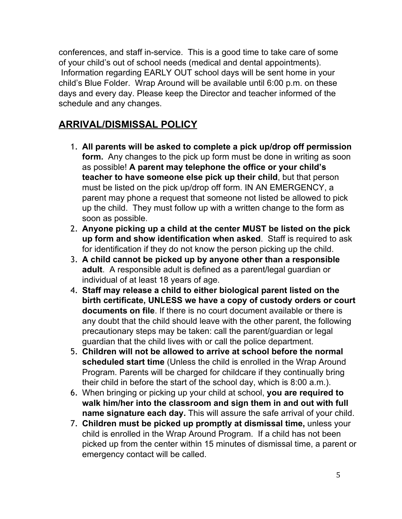conferences, and staff in-service. This is a good time to take care of some of your child's out of school needs (medical and dental appointments). Information regarding EARLY OUT school days will be sent home in your child's Blue Folder. Wrap Around will be available until 6:00 p.m. on these days and every day. Please keep the Director and teacher informed of the schedule and any changes.

## **ARRIVAL/DISMISSAL POLICY**

- 1. **All parents will be asked to complete a pick up/drop off permission form.** Any changes to the pick up form must be done in writing as soon as possible! **A parent may telephone the office or your child's teacher to have someone else pick up their child**, but that person must be listed on the pick up/drop off form. IN AN EMERGENCY, a parent may phone a request that someone not listed be allowed to pick up the child. They must follow up with a written change to the form as soon as possible.
- 2. **Anyone picking up a child at the center MUST be listed on the pick up form and show identification when asked**. Staff is required to ask for identification if they do not know the person picking up the child.
- 3. **A child cannot be picked up by anyone other than a responsible adult**. A responsible adult is defined as a parent/legal guardian or individual of at least 18 years of age.
- 4. **Staff may release a child to either biological parent listed on the birth certificate, UNLESS we have a copy of custody orders or court documents on file**. If there is no court document available or there is any doubt that the child should leave with the other parent, the following precautionary steps may be taken: call the parent/guardian or legal guardian that the child lives with or call the police department.
- 5. **Children will not be allowed to arrive at school before the normal scheduled start time** (Unless the child is enrolled in the Wrap Around Program. Parents will be charged for childcare if they continually bring their child in before the start of the school day, which is 8:00 a.m.).
- 6. When bringing or picking up your child at school, **you are required to walk him/her into the classroom and sign them in and out with full name signature each day.** This will assure the safe arrival of your child.
- 7. **Children must be picked up promptly at dismissal time,** unless your child is enrolled in the Wrap Around Program. If a child has not been picked up from the center within 15 minutes of dismissal time, a parent or emergency contact will be called.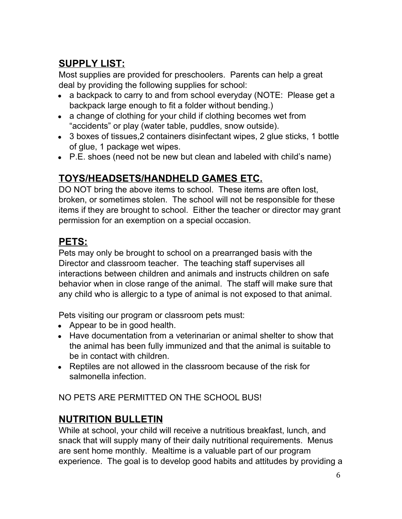## **SUPPLY LIST:**

Most supplies are provided for preschoolers. Parents can help a great deal by providing the following supplies for school:

- $\bullet$  a backpack to carry to and from school everyday (NOTE: Please get a backpack large enough to fit a folder without bending.)
- a change of clothing for your child if clothing becomes wet from "accidents" or play (water table, puddles, snow outside).
- 3 boxes of tissues, 2 containers disinfectant wipes, 2 glue sticks, 1 bottle of glue, 1 package wet wipes.
- P.E. shoes (need not be new but clean and labeled with child's name)

## **TOYS/HEADSETS/HANDHELD GAMES ETC.**

DO NOT bring the above items to school. These items are often lost, broken, or sometimes stolen. The school will not be responsible for these items if they are brought to school. Either the teacher or director may grant permission for an exemption on a special occasion.

## **PETS:**

Pets may only be brought to school on a prearranged basis with the Director and classroom teacher. The teaching staff supervises all interactions between children and animals and instructs children on safe behavior when in close range of the animal. The staff will make sure that any child who is allergic to a type of animal is not exposed to that animal.

Pets visiting our program or classroom pets must:

- Appear to be in good health.
- Have documentation from a veterinarian or animal shelter to show that the animal has been fully immunized and that the animal is suitable to be in contact with children.
- Reptiles are not allowed in the classroom because of the risk for salmonella infection.

NO PETS ARE PERMITTED ON THE SCHOOL BUS!

## **NUTRITION BULLETIN**

While at school, your child will receive a nutritious breakfast, lunch, and snack that will supply many of their daily nutritional requirements. Menus are sent home monthly. Mealtime is a valuable part of our program experience. The goal is to develop good habits and attitudes by providing a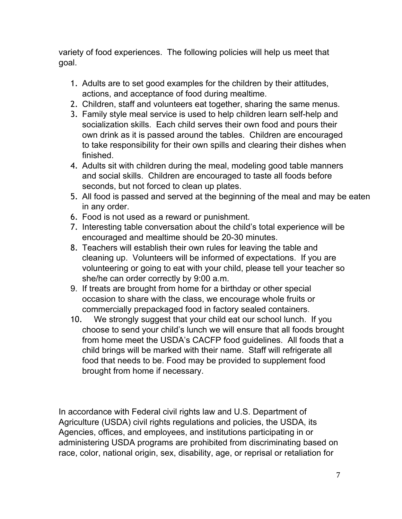variety of food experiences. The following policies will help us meet that goal.

- 1. Adults are to set good examples for the children by their attitudes, actions, and acceptance of food during mealtime.
- 2. Children, staff and volunteers eat together, sharing the same menus.
- 3. Family style meal service is used to help children learn self-help and socialization skills. Each child serves their own food and pours their own drink as it is passed around the tables. Children are encouraged to take responsibility for their own spills and clearing their dishes when finished.
- 4. Adults sit with children during the meal, modeling good table manners and social skills. Children are encouraged to taste all foods before seconds, but not forced to clean up plates.
- 5. All food is passed and served at the beginning of the meal and may be eaten in any order.
- 6. Food is not used as a reward or punishment.
- 7. Interesting table conversation about the child's total experience will be encouraged and mealtime should be 20-30 minutes.
- 8. Teachers will establish their own rules for leaving the table and cleaning up. Volunteers will be informed of expectations. If you are volunteering or going to eat with your child, please tell your teacher so she/he can order correctly by 9:00 a.m.
- 9. If treats are brought from home for a birthday or other special occasion to share with the class, we encourage whole fruits or commercially prepackaged food in factory sealed containers.
- 10. We strongly suggest that your child eat our school lunch. If you choose to send your child's lunch we will ensure that all foods brought from home meet the USDA's CACFP food guidelines. All foods that a child brings will be marked with their name. Staff will refrigerate all food that needs to be. Food may be provided to supplement food brought from home if necessary.

In accordance with Federal civil rights law and U.S. Department of Agriculture (USDA) civil rights regulations and policies, the USDA, its Agencies, offices, and employees, and institutions participating in or administering USDA programs are prohibited from discriminating based on race, color, national origin, sex, disability, age, or reprisal or retaliation for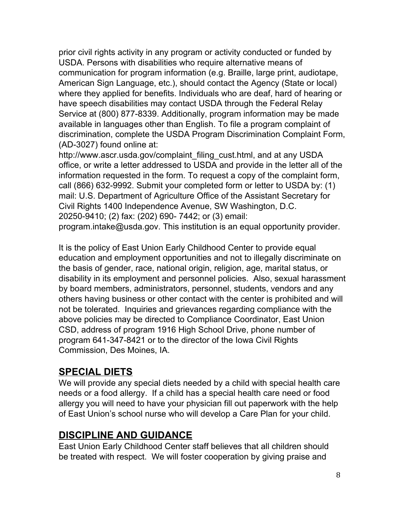prior civil rights activity in any program or activity conducted or funded by USDA. Persons with disabilities who require alternative means of communication for program information (e.g. Braille, large print, audiotape, American Sign Language, etc.), should contact the Agency (State or local) where they applied for benefits. Individuals who are deaf, hard of hearing or have speech disabilities may contact USDA through the Federal Relay Service at (800) 877-8339. Additionally, program information may be made available in languages other than English. To file a program complaint of discrimination, complete the USDA Program Discrimination Complaint Form, (AD-3027) found online at:

http://www.ascr.usda.gov/complaint\_filing\_cust.html, and at any USDA office, or write a letter addressed to USDA and provide in the letter all of the information requested in the form. To request a copy of the complaint form, call (866) 632-9992. Submit your completed form or letter to USDA by: (1) mail: U.S. Department of Agriculture Office of the Assistant Secretary for Civil Rights 1400 Independence Avenue, SW Washington, D.C. 20250-9410; (2) fax: (202) 690- 7442; or (3) email:

program.intake@usda.gov. This institution is an equal opportunity provider.

It is the policy of East Union Early Childhood Center to provide equal education and employment opportunities and not to illegally discriminate on the basis of gender, race, national origin, religion, age, marital status, or disability in its employment and personnel policies. Also, sexual harassment by board members, administrators, personnel, students, vendors and any others having business or other contact with the center is prohibited and will not be tolerated. Inquiries and grievances regarding compliance with the above policies may be directed to Compliance Coordinator, East Union CSD, address of program 1916 High School Drive, phone number of program 641-347-8421 or to the director of the Iowa Civil Rights Commission, Des Moines, IA.

## **SPECIAL DIETS**

We will provide any special diets needed by a child with special health care needs or a food allergy. If a child has a special health care need or food allergy you will need to have your physician fill out paperwork with the help of East Union's school nurse who will develop a Care Plan for your child.

## **DISCIPLINE AND GUIDANCE**

East Union Early Childhood Center staff believes that all children should be treated with respect. We will foster cooperation by giving praise and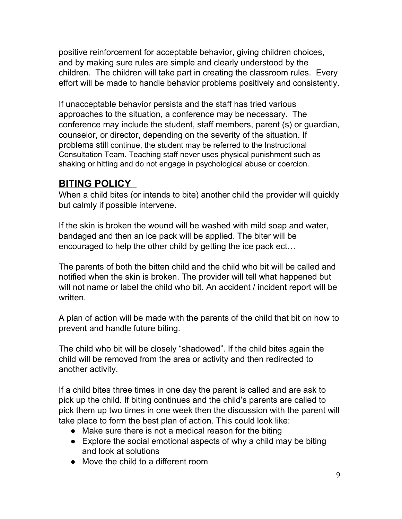positive reinforcement for acceptable behavior, giving children choices, and by making sure rules are simple and clearly understood by the children. The children will take part in creating the classroom rules. Every effort will be made to handle behavior problems positively and consistently.

If unacceptable behavior persists and the staff has tried various approaches to the situation, a conference may be necessary. The conference may include the student, staff members, parent (s) or guardian, counselor, or director, depending on the severity of the situation. If problems still continue, the student may be referred to the Instructional Consultation Team. Teaching staff never uses physical punishment such as shaking or hitting and do not engage in psychological abuse or coercion.

## **BITING POLICY**

When a child bites (or intends to bite) another child the provider will quickly but calmly if possible intervene.

If the skin is broken the wound will be washed with mild soap and water, bandaged and then an ice pack will be applied. The biter will be encouraged to help the other child by getting the ice pack ect…

The parents of both the bitten child and the child who bit will be called and notified when the skin is broken. The provider will tell what happened but will not name or label the child who bit. An accident / incident report will be written.

A plan of action will be made with the parents of the child that bit on how to prevent and handle future biting.

The child who bit will be closely "shadowed". If the child bites again the child will be removed from the area or activity and then redirected to another activity.

If a child bites three times in one day the parent is called and are ask to pick up the child. If biting continues and the child's parents are called to pick them up two times in one week then the discussion with the parent will take place to form the best plan of action. This could look like:

- Make sure there is not a medical reason for the biting
- Explore the social emotional aspects of why a child may be biting and look at solutions
- Move the child to a different room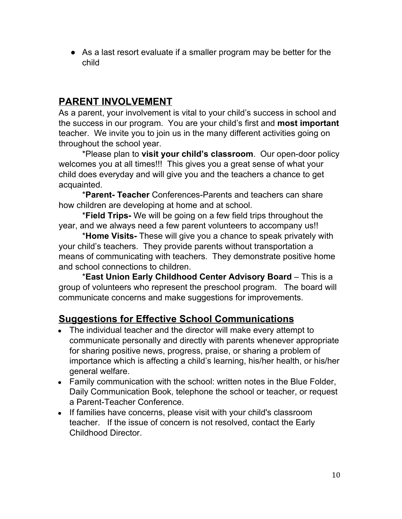• As a last resort evaluate if a smaller program may be better for the child

## **PARENT INVOLVEMENT**

As a parent, your involvement is vital to your child's success in school and the success in our program. You are your child's first and **most important** teacher. We invite you to join us in the many different activities going on throughout the school year.

\*Please plan to **visit your child's classroom**. Our open-door policy welcomes you at all times!!! This gives you a great sense of what your child does everyday and will give you and the teachers a chance to get acquainted.

\***Parent- Teacher** Conferences-Parents and teachers can share how children are developing at home and at school.

\***Field Trips-** We will be going on a few field trips throughout the year, and we always need a few parent volunteers to accompany us!!

\***Home Visits-** These will give you a chance to speak privately with your child's teachers. They provide parents without transportation a means of communicating with teachers. They demonstrate positive home and school connections to children.

\***East Union Early Childhood Center Advisory Board** – This is a group of volunteers who represent the preschool program. The board will communicate concerns and make suggestions for improvements.

## **Suggestions for Effective School Communications**

- The individual teacher and the director will make every attempt to communicate personally and directly with parents whenever appropriate for sharing positive news, progress, praise, or sharing a problem of importance which is affecting a child's learning, his/her health, or his/her general welfare.
- Family communication with the school: written notes in the Blue Folder, Daily Communication Book, telephone the school or teacher, or request a Parent-Teacher Conference.
- If families have concerns, please visit with your child's classroom teacher. If the issue of concern is not resolved, contact the Early Childhood Director.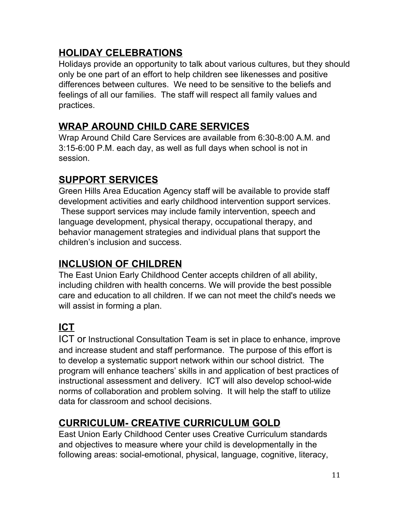## **HOLIDAY CELEBRATIONS**

Holidays provide an opportunity to talk about various cultures, but they should only be one part of an effort to help children see likenesses and positive differences between cultures. We need to be sensitive to the beliefs and feelings of all our families. The staff will respect all family values and practices.

## **WRAP AROUND CHILD CARE SERVICES**

Wrap Around Child Care Services are available from 6:30-8:00 A.M. and 3:15-6:00 P.M. each day, as well as full days when school is not in session.

## **SUPPORT SERVICES**

Green Hills Area Education Agency staff will be available to provide staff development activities and early childhood intervention support services. These support services may include family intervention, speech and language development, physical therapy, occupational therapy, and behavior management strategies and individual plans that support the children's inclusion and success.

## **INCLUSION OF CHILDREN**

The East Union Early Childhood Center accepts children of all ability, including children with health concerns. We will provide the best possible care and education to all children. If we can not meet the child's needs we will assist in forming a plan.

# **ICT**

ICT or Instructional Consultation Team is set in place to enhance, improve and increase student and staff performance. The purpose of this effort is to develop a systematic support network within our school district. The program will enhance teachers' skills in and application of best practices of instructional assessment and delivery. ICT will also develop school-wide norms of collaboration and problem solving. It will help the staff to utilize data for classroom and school decisions.

## **CURRICULUM- CREATIVE CURRICULUM GOLD**

East Union Early Childhood Center uses Creative Curriculum standards and objectives to measure where your child is developmentally in the following areas: social-emotional, physical, language, cognitive, literacy,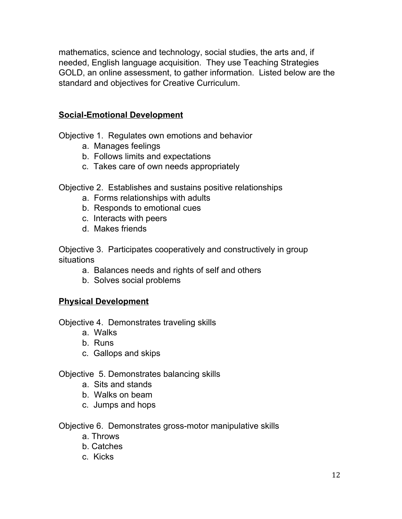mathematics, science and technology, social studies, the arts and, if needed, English language acquisition. They use Teaching Strategies GOLD, an online assessment, to gather information. Listed below are the standard and objectives for Creative Curriculum.

#### **Social-Emotional Development**

Objective 1. Regulates own emotions and behavior

- a. Manages feelings
- b. Follows limits and expectations
- c. Takes care of own needs appropriately
- Objective 2. Establishes and sustains positive relationships
	- a. Forms relationships with adults
	- b. Responds to emotional cues
	- c. Interacts with peers
	- d. Makes friends

Objective 3. Participates cooperatively and constructively in group situations

- a. Balances needs and rights of self and others
- b. Solves social problems

#### **Physical Development**

Objective 4. Demonstrates traveling skills

- a. Walks
- b. Runs
- c. Gallops and skips

#### Objective 5. Demonstrates balancing skills

- a. Sits and stands
- b. Walks on beam
- c. Jumps and hops

#### Objective 6. Demonstrates gross-motor manipulative skills

- a. Throws
- b. Catches
- c. Kicks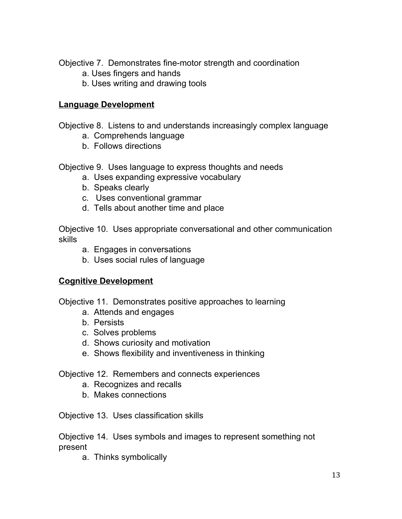Objective 7. Demonstrates fine-motor strength and coordination

- a. Uses fingers and hands
- b. Uses writing and drawing tools

#### **Language Development**

Objective 8. Listens to and understands increasingly complex language

- a. Comprehends language
- b. Follows directions

Objective 9. Uses language to express thoughts and needs

- a. Uses expanding expressive vocabulary
- b. Speaks clearly
- c. Uses conventional grammar
- d. Tells about another time and place

Objective 10. Uses appropriate conversational and other communication skills

- a. Engages in conversations
- b. Uses social rules of language

#### **Cognitive Development**

Objective 11. Demonstrates positive approaches to learning

- a. Attends and engages
- b. Persists
- c. Solves problems
- d. Shows curiosity and motivation
- e. Shows flexibility and inventiveness in thinking

#### Objective 12. Remembers and connects experiences

- a. Recognizes and recalls
- b. Makes connections

Objective 13. Uses classification skills

Objective 14. Uses symbols and images to represent something not present

a. Thinks symbolically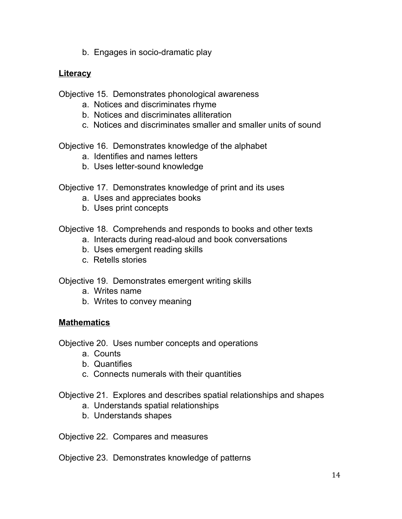b. Engages in socio-dramatic play

#### **Literacy**

Objective 15. Demonstrates phonological awareness

- a. Notices and discriminates rhyme
- b. Notices and discriminates alliteration
- c. Notices and discriminates smaller and smaller units of sound

#### Objective 16. Demonstrates knowledge of the alphabet

- a. Identifies and names letters
- b. Uses letter-sound knowledge

Objective 17. Demonstrates knowledge of print and its uses

- a. Uses and appreciates books
- b. Uses print concepts

Objective 18. Comprehends and responds to books and other texts

- a. Interacts during read-aloud and book conversations
- b. Uses emergent reading skills
- c. Retells stories

Objective 19. Demonstrates emergent writing skills

- a. Writes name
- b. Writes to convey meaning

#### **Mathematics**

Objective 20. Uses number concepts and operations

- a. Counts
- b. Quantifies
- c. Connects numerals with their quantities

Objective 21. Explores and describes spatial relationships and shapes

- a. Understands spatial relationships
- b. Understands shapes
- Objective 22. Compares and measures
- Objective 23. Demonstrates knowledge of patterns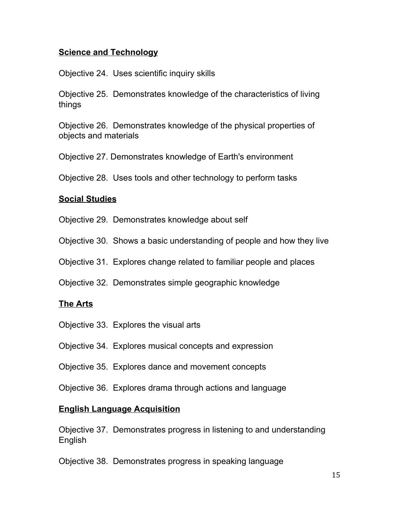#### **Science and Technology**

Objective 24. Uses scientific inquiry skills

Objective 25. Demonstrates knowledge of the characteristics of living things

Objective 26. Demonstrates knowledge of the physical properties of objects and materials

Objective 27. Demonstrates knowledge of Earth's environment

Objective 28. Uses tools and other technology to perform tasks

#### **Social Studies**

Objective 29. Demonstrates knowledge about self

- Objective 30. Shows a basic understanding of people and how they live
- Objective 31. Explores change related to familiar people and places

Objective 32. Demonstrates simple geographic knowledge

#### **The Arts**

- Objective 33. Explores the visual arts
- Objective 34. Explores musical concepts and expression
- Objective 35. Explores dance and movement concepts
- Objective 36. Explores drama through actions and language

#### **English Language Acquisition**

Objective 37. Demonstrates progress in listening to and understanding English

Objective 38. Demonstrates progress in speaking language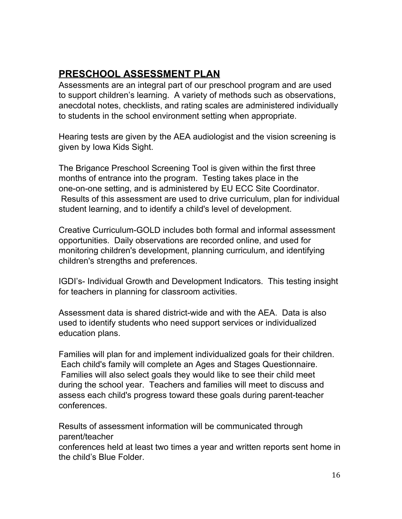## **PRESCHOOL ASSESSMENT PLAN**

Assessments are an integral part of our preschool program and are used to support children's learning. A variety of methods such as observations, anecdotal notes, checklists, and rating scales are administered individually to students in the school environment setting when appropriate.

Hearing tests are given by the AEA audiologist and the vision screening is given by Iowa Kids Sight.

The Brigance Preschool Screening Tool is given within the first three months of entrance into the program. Testing takes place in the one-on-one setting, and is administered by EU ECC Site Coordinator. Results of this assessment are used to drive curriculum, plan for individual student learning, and to identify a child's level of development.

Creative Curriculum-GOLD includes both formal and informal assessment opportunities. Daily observations are recorded online, and used for monitoring children's development, planning curriculum, and identifying children's strengths and preferences.

IGDI's- Individual Growth and Development Indicators. This testing insight for teachers in planning for classroom activities.

Assessment data is shared district-wide and with the AEA. Data is also used to identify students who need support services or individualized education plans.

Families will plan for and implement individualized goals for their children. Each child's family will complete an Ages and Stages Questionnaire. Families will also select goals they would like to see their child meet during the school year. Teachers and families will meet to discuss and assess each child's progress toward these goals during parent-teacher conferences.

Results of assessment information will be communicated through parent/teacher

conferences held at least two times a year and written reports sent home in the child's Blue Folder.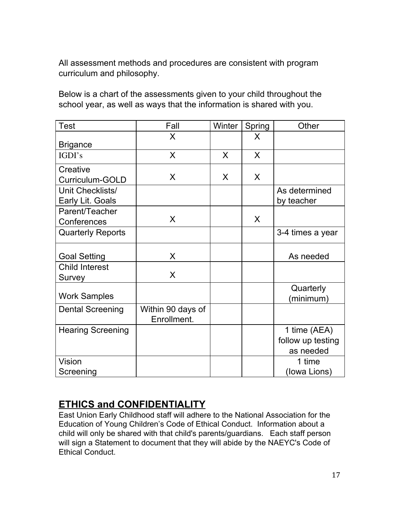All assessment methods and procedures are consistent with program curriculum and philosophy.

Below is a chart of the assessments given to your child throughout the school year, as well as ways that the information is shared with you.

| <b>Test</b>              | Fall              | Winter | Spring | Other                  |
|--------------------------|-------------------|--------|--------|------------------------|
|                          | X                 |        | X      |                        |
| <b>Brigance</b>          | X                 | X      | X      |                        |
| IGDI's                   |                   |        |        |                        |
| Creative                 |                   |        |        |                        |
| Curriculum-GOLD          | X                 | X      | X      |                        |
| Unit Checklists/         |                   |        |        | As determined          |
| Early Lit. Goals         |                   |        |        | by teacher             |
| Parent/Teacher           |                   |        |        |                        |
| Conferences              | X                 |        | X      |                        |
| <b>Quarterly Reports</b> |                   |        |        | 3-4 times a year       |
| <b>Goal Setting</b>      | X                 |        |        | As needed              |
| <b>Child Interest</b>    |                   |        |        |                        |
| Survey                   | X                 |        |        |                        |
|                          |                   |        |        |                        |
| <b>Work Samples</b>      |                   |        |        | Quarterly<br>(minimum) |
| <b>Dental Screening</b>  | Within 90 days of |        |        |                        |
|                          | Enrollment.       |        |        |                        |
| <b>Hearing Screening</b> |                   |        |        | 1 time (AEA)           |
|                          |                   |        |        | follow up testing      |
|                          |                   |        |        | as needed              |
| Vision                   |                   |        |        | 1 time                 |
| Screening                |                   |        |        | (Iowa Lions)           |

## **ETHICS and CONFIDENTIALITY**

East Union Early Childhood staff will adhere to the National Association for the Education of Young Children's Code of Ethical Conduct. Information about a child will only be shared with that child's parents/guardians. Each staff person will sign a Statement to document that they will abide by the NAEYC's Code of Ethical Conduct.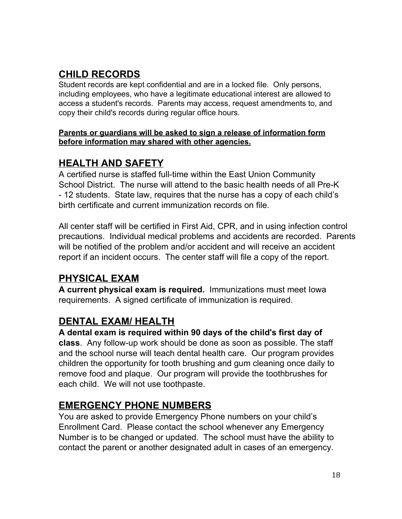## **CHILD RECORDS**

Student records are kept confidential and are in a locked file. Only persons, including employees, who have a legitimate educational interest are allowed to access a student's records. Parents may access, request amendments to, and copy their child's records during regular office hours.

#### **Parents or guardians will be asked to sign a release of information form before information may shared with other agencies.**

## **HEALTH AND SAFETY**

A certified nurse is staffed full-time within the East Union Community School District. The nurse will attend to the basic health needs of all Pre-K - 12 students. State law, requires that the nurse has a copy of each child's birth certificate and current immunization records on file.

All center staff will be certified in First Aid, CPR, and in using infection control precautions. Individual medical problems and accidents are recorded. Parents will be notified of the problem and/or accident and will receive an accident report if an incident occurs. The center staff will file a copy of the report.

## **PHYSICAL EXAM**

**A current physical exam is required.** Immunizations must meet Iowa requirements. A signed certificate of immunization is required.

## **DENTAL EXAM/ HEALTH**

**A dental exam is required within 90 days of the child's first day of class**. Any follow-up work should be done as soon as possible. The staff and the school nurse will teach dental health care. Our program provides children the opportunity for tooth brushing and gum cleaning once daily to remove food and plaque. Our program will provide the toothbrushes for each child. We will not use toothpaste.

## **EMERGENCY PHONE NUMBERS**

You are asked to provide Emergency Phone numbers on your child's Enrollment Card. Please contact the school whenever any Emergency Number is to be changed or updated. The school must have the ability to contact the parent or another designated adult in cases of an emergency.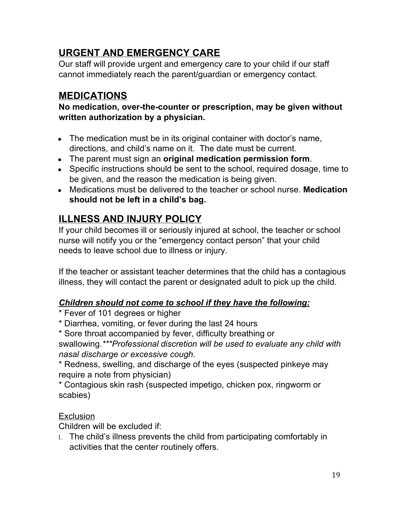## **URGENT AND EMERGENCY CARE**

Our staff will provide urgent and emergency care to your child if our staff cannot immediately reach the parent/guardian or emergency contact.

## **MEDICATIONS**

**No medication, over-the-counter or prescription, may be given without written authorization by a physician.**

- The medication must be in its original container with doctor's name, directions, and child's name on it. The date must be current.
- The parent must sign an **original medication permission form**.
- Specific instructions should be sent to the school, required dosage, time to be given, and the reason the medication is being given.
- Medications must be delivered to the teacher or school nurse. **Medication should not be left in a child's bag.**

## **ILLNESS AND INJURY POLICY**

If your child becomes ill or seriously injured at school, the teacher or school nurse will notify you or the "emergency contact person" that your child needs to leave school due to illness or injury.

If the teacher or assistant teacher determines that the child has a contagious illness, they will contact the parent or designated adult to pick up the child.

#### *Children should not come to school if they have the following:*

- \* Fever of 101 degrees or higher
- \* Diarrhea, vomiting, or fever during the last 24 hours

\* Sore throat accompanied by fever, difficulty breathing or

swallowing.*\*\*\*Professional discretion will be used to evaluate any child with nasal discharge or excessive cough.*

\* Redness, swelling, and discharge of the eyes (suspected pinkeye may require a note from physician)

\* Contagious skin rash (suspected impetigo, chicken pox, ringworm or scabies)

#### **Exclusion**

Children will be excluded if:

1. The child's illness prevents the child from participating comfortably in activities that the center routinely offers.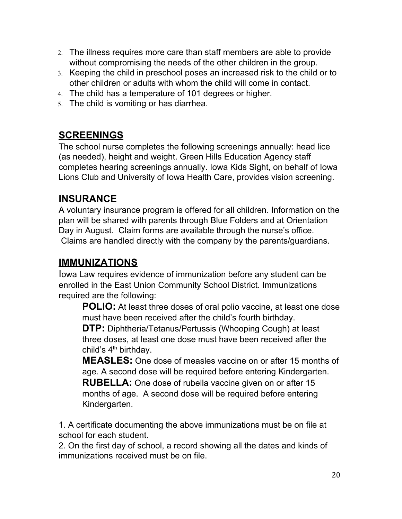- 2. The illness requires more care than staff members are able to provide without compromising the needs of the other children in the group.
- 3. Keeping the child in preschool poses an increased risk to the child or to other children or adults with whom the child will come in contact.
- 4. The child has a temperature of 101 degrees or higher.
- 5. The child is vomiting or has diarrhea.

## **SCREENINGS**

The school nurse completes the following screenings annually: head lice (as needed), height and weight. Green Hills Education Agency staff completes hearing screenings annually. Iowa Kids Sight, on behalf of Iowa Lions Club and University of Iowa Health Care, provides vision screening.

## **INSURANCE**

A voluntary insurance program is offered for all children. Information on the plan will be shared with parents through Blue Folders and at Orientation Day in August. Claim forms are available through the nurse's office. Claims are handled directly with the company by the parents/guardians.

## **IMMUNIZATIONS**

Iowa Law requires evidence of immunization before any student can be enrolled in the East Union Community School District. Immunizations required are the following:

**POLIO:** At least three doses of oral polio vaccine, at least one dose must have been received after the child's fourth birthday.

**DTP:** Diphtheria/Tetanus/Pertussis (Whooping Cough) at least three doses, at least one dose must have been received after the child's 4<sup>th</sup> birthday.

**MEASLES:** One dose of measles vaccine on or after <sup>15</sup> months of age. A second dose will be required before entering Kindergarten. **RUBELLA:** One dose of rubella vaccine given on or after <sup>15</sup> months of age. A second dose will be required before entering Kindergarten.

1. A certificate documenting the above immunizations must be on file at school for each student.

2. On the first day of school, a record showing all the dates and kinds of immunizations received must be on file.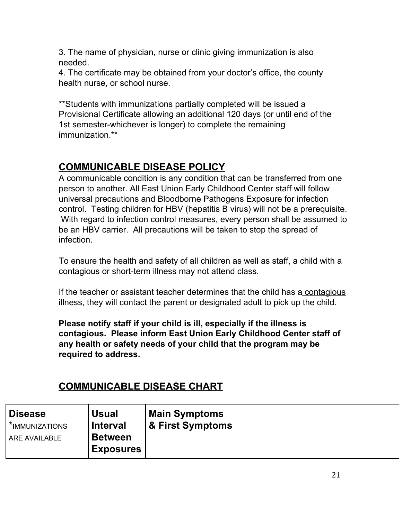3. The name of physician, nurse or clinic giving immunization is also needed.

4. The certificate may be obtained from your doctor's office, the county health nurse, or school nurse.

\*\*Students with immunizations partially completed will be issued a Provisional Certificate allowing an additional 120 days (or until end of the 1st semester-whichever is longer) to complete the remaining immunization.\*\*

## **COMMUNICABLE DISEASE POLICY**

A communicable condition is any condition that can be transferred from one person to another. All East Union Early Childhood Center staff will follow universal precautions and Bloodborne Pathogens Exposure for infection control. Testing children for HBV (hepatitis B virus) will not be a prerequisite. With regard to infection control measures, every person shall be assumed to be an HBV carrier. All precautions will be taken to stop the spread of infection.

To ensure the health and safety of all children as well as staff, a child with a contagious or short-term illness may not attend class.

If the teacher or assistant teacher determines that the child has a contagious illness, they will contact the parent or designated adult to pick up the child.

**Please notify staff if your child is ill, especially if the illness is contagious. Please inform East Union Early Childhood Center staff of any health or safety needs of your child that the program may be required to address.**

## **COMMUNICABLE DISEASE CHART**

| <b>Disease</b><br>*IMMUNIZATIONS | <b>Usual</b><br><b>Interval</b> | <b>Main Symptoms</b><br>& First Symptoms |
|----------------------------------|---------------------------------|------------------------------------------|
| ARE AVAILABLE                    | <b>Between</b>                  |                                          |
|                                  | <b>Exposures</b>                |                                          |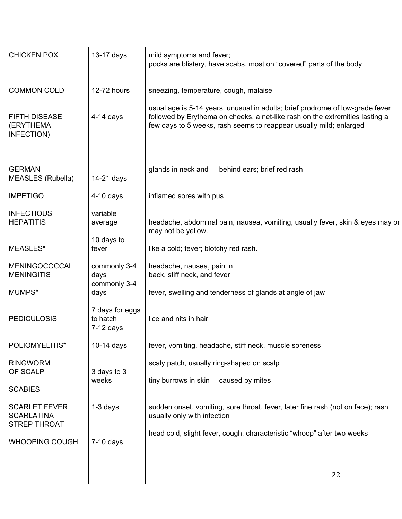| <b>CHICKEN POX</b>                              | 13-17 days                                 | mild symptoms and fever;<br>pocks are blistery, have scabs, most on "covered" parts of the body                                                                                                                                     |
|-------------------------------------------------|--------------------------------------------|-------------------------------------------------------------------------------------------------------------------------------------------------------------------------------------------------------------------------------------|
| <b>COMMON COLD</b>                              | 12-72 hours                                | sneezing, temperature, cough, malaise                                                                                                                                                                                               |
| <b>FIFTH DISEASE</b><br>(ERYTHEMA<br>INFECTION) | $4-14$ days                                | usual age is 5-14 years, unusual in adults; brief prodrome of low-grade fever<br>followed by Erythema on cheeks, a net-like rash on the extremities lasting a<br>few days to 5 weeks, rash seems to reappear usually mild; enlarged |
| <b>GERMAN</b><br><b>MEASLES</b> (Rubella)       | 14-21 days                                 | glands in neck and<br>behind ears; brief red rash                                                                                                                                                                                   |
| <b>IMPETIGO</b>                                 | $4-10$ days                                | inflamed sores with pus                                                                                                                                                                                                             |
| <b>INFECTIOUS</b><br><b>HEPATITIS</b>           | variable<br>average                        | headache, abdominal pain, nausea, vomiting, usually fever, skin & eyes may or<br>may not be yellow.                                                                                                                                 |
| MEASLES*                                        | 10 days to<br>fever                        | like a cold; fever; blotchy red rash.                                                                                                                                                                                               |
| MENINGOCOCCAL<br><b>MENINGITIS</b>              | commonly 3-4<br>days<br>commonly 3-4       | headache, nausea, pain in<br>back, stiff neck, and fever                                                                                                                                                                            |
| MUMPS*                                          | days                                       | fever, swelling and tenderness of glands at angle of jaw                                                                                                                                                                            |
| <b>PEDICULOSIS</b>                              | 7 days for eggs<br>to hatch<br>$7-12$ days | lice and nits in hair                                                                                                                                                                                                               |
| POLIOMYELITIS*                                  | $10-14$ days                               | fever, vomiting, headache, stiff neck, muscle soreness                                                                                                                                                                              |
| <b>RINGWORM</b><br>OF SCALP                     | 3 days to 3                                | scaly patch, usually ring-shaped on scalp                                                                                                                                                                                           |
| <b>SCABIES</b>                                  | weeks                                      | tiny burrows in skin<br>caused by mites                                                                                                                                                                                             |
| <b>SCARLET FEVER</b><br><b>SCARLATINA</b>       | $1-3$ days                                 | sudden onset, vomiting, sore throat, fever, later fine rash (not on face); rash<br>usually only with infection                                                                                                                      |
| <b>STREP THROAT</b><br><b>WHOOPING COUGH</b>    | $7-10$ days                                | head cold, slight fever, cough, characteristic "whoop" after two weeks                                                                                                                                                              |
|                                                 |                                            |                                                                                                                                                                                                                                     |
|                                                 |                                            | 22                                                                                                                                                                                                                                  |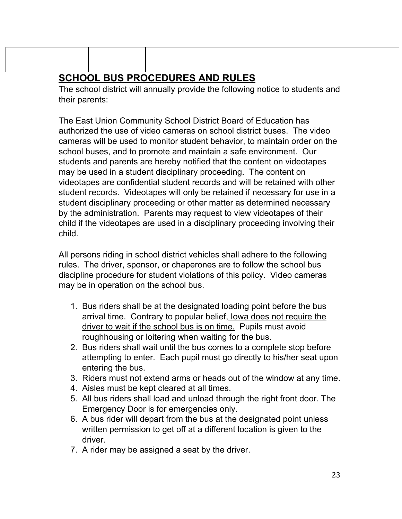## **SCHOOL BUS PROCEDURES AND RULES**

The school district will annually provide the following notice to students and their parents:

The East Union Community School District Board of Education has authorized the use of video cameras on school district buses. The video cameras will be used to monitor student behavior, to maintain order on the school buses, and to promote and maintain a safe environment. Our students and parents are hereby notified that the content on videotapes may be used in a student disciplinary proceeding. The content on videotapes are confidential student records and will be retained with other student records. Videotapes will only be retained if necessary for use in a student disciplinary proceeding or other matter as determined necessary by the administration. Parents may request to view videotapes of their child if the videotapes are used in a disciplinary proceeding involving their child.

All persons riding in school district vehicles shall adhere to the following rules. The driver, sponsor, or chaperones are to follow the school bus discipline procedure for student violations of this policy. Video cameras may be in operation on the school bus.

- 1. Bus riders shall be at the designated loading point before the bus arrival time. Contrary to popular belief, Iowa does not require the driver to wait if the school bus is on time. Pupils must avoid roughhousing or loitering when waiting for the bus.
- 2. Bus riders shall wait until the bus comes to a complete stop before attempting to enter. Each pupil must go directly to his/her seat upon entering the bus.
- 3. Riders must not extend arms or heads out of the window at any time.
- 4. Aisles must be kept cleared at all times.
- 5. All bus riders shall load and unload through the right front door. The Emergency Door is for emergencies only.
- 6. A bus rider will depart from the bus at the designated point unless written permission to get off at a different location is given to the driver.
- 7. A rider may be assigned a seat by the driver.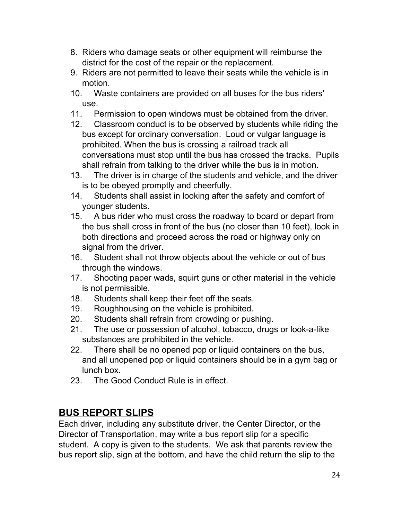- 8. Riders who damage seats or other equipment will reimburse the district for the cost of the repair or the replacement.
- 9. Riders are not permitted to leave their seats while the vehicle is in motion.
- 10. Waste containers are provided on all buses for the bus riders' use.
- 11. Permission to open windows must be obtained from the driver.
- 12. Classroom conduct is to be observed by students while riding the bus except for ordinary conversation. Loud or vulgar language is prohibited. When the bus is crossing a railroad track all conversations must stop until the bus has crossed the tracks. Pupils shall refrain from talking to the driver while the bus is in motion.
- 13. The driver is in charge of the students and vehicle, and the driver is to be obeyed promptly and cheerfully.
- 14. Students shall assist in looking after the safety and comfort of younger students.
- 15. A bus rider who must cross the roadway to board or depart from the bus shall cross in front of the bus (no closer than 10 feet), look in both directions and proceed across the road or highway only on signal from the driver.
- 16. Student shall not throw objects about the vehicle or out of bus through the windows.
- 17. Shooting paper wads, squirt guns or other material in the vehicle is not permissible.
- 18. Students shall keep their feet off the seats.
- 19. Roughhousing on the vehicle is prohibited.
- 20. Students shall refrain from crowding or pushing.
- 21. The use or possession of alcohol, tobacco, drugs or look-a-like substances are prohibited in the vehicle.
- 22. There shall be no opened pop or liquid containers on the bus, and all unopened pop or liquid containers should be in a gym bag or lunch box.
- 23. The Good Conduct Rule is in effect.

## **BUS REPORT SLIPS**

Each driver, including any substitute driver, the Center Director, or the Director of Transportation, may write a bus report slip for a specific student. A copy is given to the students. We ask that parents review the bus report slip, sign at the bottom, and have the child return the slip to the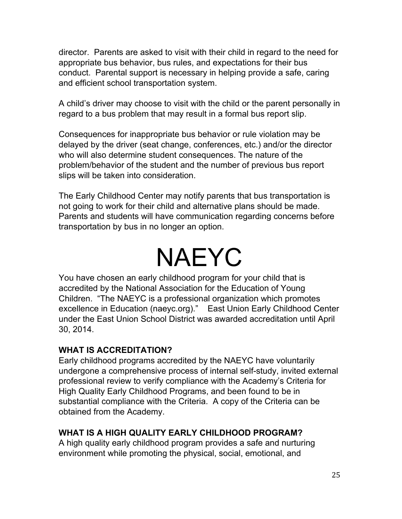director. Parents are asked to visit with their child in regard to the need for appropriate bus behavior, bus rules, and expectations for their bus conduct. Parental support is necessary in helping provide a safe, caring and efficient school transportation system.

A child's driver may choose to visit with the child or the parent personally in regard to a bus problem that may result in a formal bus report slip.

Consequences for inappropriate bus behavior or rule violation may be delayed by the driver (seat change, conferences, etc.) and/or the director who will also determine student consequences. The nature of the problem/behavior of the student and the number of previous bus report slips will be taken into consideration.

The Early Childhood Center may notify parents that bus transportation is not going to work for their child and alternative plans should be made. Parents and students will have communication regarding concerns before transportation by bus in no longer an option.

# NAEYC

You have chosen an early childhood program for your child that is accredited by the National Association for the Education of Young Children. "The NAEYC is a professional organization which promotes excellence in Education (naeyc.org)." East Union Early Childhood Center under the East Union School District was awarded accreditation until April 30, 2014.

#### **WHAT IS ACCREDITATION?**

Early childhood programs accredited by the NAEYC have voluntarily undergone a comprehensive process of internal self-study, invited external professional review to verify compliance with the Academy's Criteria for High Quality Early Childhood Programs, and been found to be in substantial compliance with the Criteria. A copy of the Criteria can be obtained from the Academy.

#### **WHAT IS A HIGH QUALITY EARLY CHILDHOOD PROGRAM?**

A high quality early childhood program provides a safe and nurturing environment while promoting the physical, social, emotional, and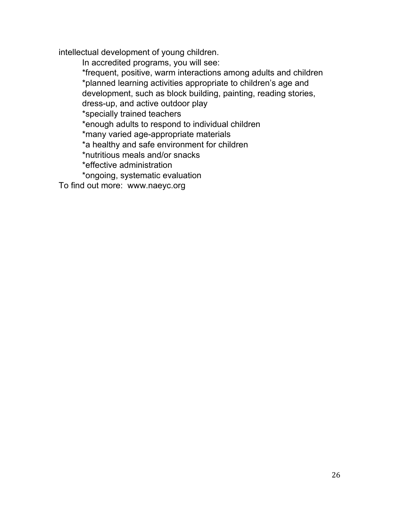intellectual development of young children.

In accredited programs, you will see:

\*frequent, positive, warm interactions among adults and children \*planned learning activities appropriate to children's age and development, such as block building, painting, reading stories,

dress-up, and active outdoor play

\*specially trained teachers

\*enough adults to respond to individual children

\*many varied age-appropriate materials

\*a healthy and safe environment for children

\*nutritious meals and/or snacks

\*effective administration

\*ongoing, systematic evaluation

To find out more: www.naeyc.org